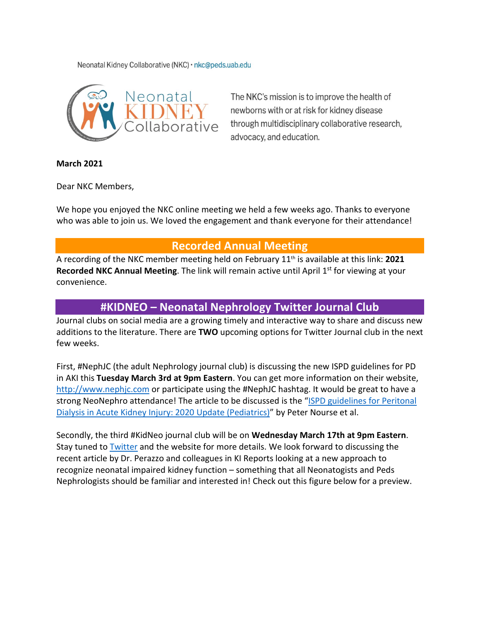Neonatal Kidney Collaborative (NKC) · nkc@peds.uab.edu



The NKC's mission is to improve the health of newborns with or at risk for kidney disease through multidisciplinary collaborative research, advocacy, and education.

**March 2021**

Dear NKC Members,

We hope you enjoyed the NKC online meeting we held a few weeks ago. Thanks to everyone who was able to join us. We loved the engagement and thank everyone for their attendance!

## **Recorded Annual Meeting**

A recording of the NKC member meeting held on February 11th is available at this link: **[2021](https://uab.zoom.us/rec/share/WZ1bNS15HaWHzzzBGStt37qNOCVWDTyUpsFXyujvmyiIse0qy7hdicOmASRmdFUj.vaCMrU8-I3i_A3B3?startTime=1613064655000)  [Recorded NKC Annual Meeting](https://uab.zoom.us/rec/share/WZ1bNS15HaWHzzzBGStt37qNOCVWDTyUpsFXyujvmyiIse0qy7hdicOmASRmdFUj.vaCMrU8-I3i_A3B3?startTime=1613064655000)**. The link will remain active until April 1<sup>st</sup> for viewing at your convenience.

## **#KIDNEO – Neonatal Nephrology Twitter Journal Club**

Journal clubs on social media are a growing timely and interactive way to share and discuss new additions to the literature. There are **TWO** upcoming options for Twitter Journal club in the next few weeks.

First, #NephJC (the adult Nephrology journal club) is discussing the new ISPD guidelines for PD in AKI this **Tuesday March 3rd at 9pm Eastern**. You can get more information on their website, [http://www.nephjc.com](http://www.nephjc.com/) or participate using the #NephJC hashtag. It would be great to have a strong NeoNephro attendance! The article to be discussed is the "ISPD guidelines for Peritonal [Dialysis in Acute Kidney Injury: 2020 Update \(Pediatrics\)"](https://journals.sagepub.com/doi/abs/10.1177/0896860820982120) by Peter Nourse et al.

Secondly, the third #KidNeo journal club will be on **Wednesday March 17th at 9pm Eastern**. Stay tuned to [Twitter](https://twitter.com/neonatalkidney) and the website for more details. We look forward to discussing the recent article by Dr. Perazzo and colleagues in KI Reports looking at a new approach to recognize neonatal impaired kidney function – something that all Neonatogists and Peds Nephrologists should be familiar and interested in! Check out this figure below for a preview.